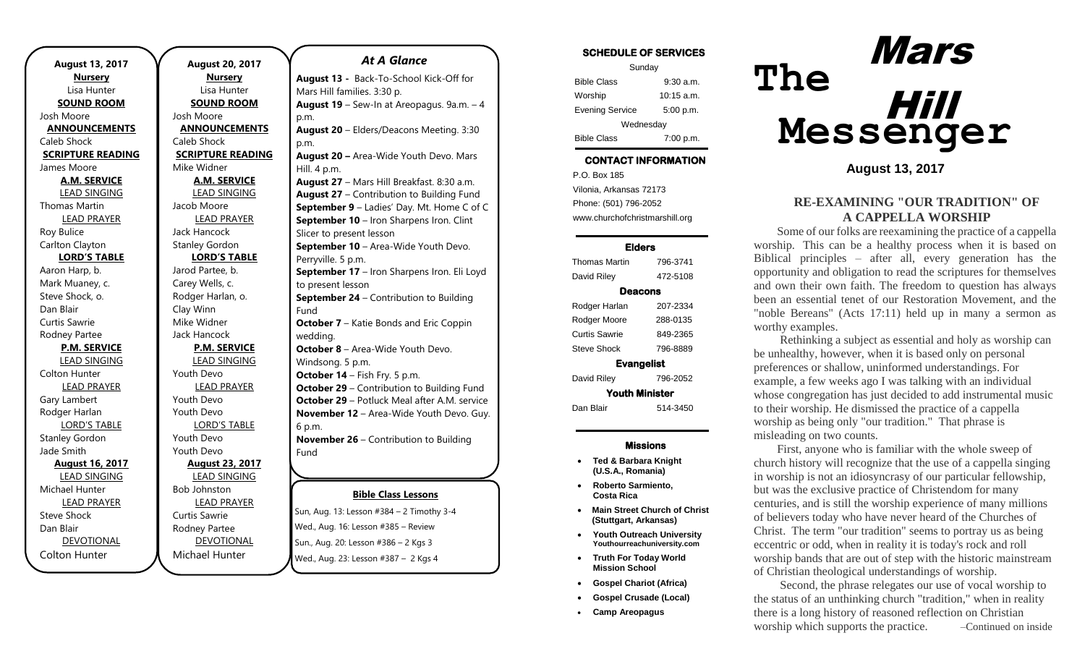| <b>August 13, 2017</b>   |
|--------------------------|
| <b>Nursery</b>           |
| Lisa Hunter              |
| <b>SOUND ROOM</b>        |
| Josh Moore               |
| <b>ANNOUNCEMENTS</b>     |
| Caleb Shock              |
| <b>SCRIPTURE READING</b> |
| James Moore              |
| <b>A.M. SERVICE</b>      |
| <b>LEAD SINGING</b>      |
| Thomas Martin            |
| <b>LEAD PRAYER</b>       |
| Roy Bulice               |
| Carlton Clayton          |
| <b>LORD'S TABLE</b>      |
| Aaron Harp, b.           |
| Mark Muaney, c.          |
| Steve Shock, o.          |
| Dan Blair                |
| <b>Curtis Sawrie</b>     |
| Rodney Partee            |
| <b>P.M. SERVICE</b>      |
| <b>LEAD SINGING</b>      |
| Colton Hunter            |
| <b>LEAD PRAYER</b>       |
| Gary Lambert             |
| Rodger Harlan            |
| <b>LORD'S TABLE</b>      |
| <b>Stanley Gordon</b>    |
| Jade Smith               |
| <u>August 16, 2017</u>   |
| <b>LEAD SINGING</b>      |
| Michael Hunter           |
| <b>LEAD PRAYER</b>       |
| <b>Steve Shock</b>       |
| Dan Blair                |
| <b>DEVOTIONAL</b>        |
| Colton Hunter            |

**August 20, 2017 Nursery** Lisa Hunter **SOUND ROOM** Josh Moore **ANNOUNCEMENTS** Caleb Shock **SCRIPTURE READING** Mike Widner **A.M. SERVICE** LEAD SINGING Jacob Moore LEAD PRAYER Jack Hancock Stanley Gordon **LORD'S TABLE** Jarod Partee, b. Carey Wells, c. Rodger Harlan, o. Clay Winn Mike Widner Jack Hancock **P.M. SERVICE** LEAD SINGING Youth Devo LEAD PRAYER Youth Devo Youth Devo LORD'S TABLE Youth Devo Youth Devo **August 23, 2017** LEAD SINGING Bob Johnston LEAD PRAYER Curtis Sawrie Rodney Partee DEVOTIONAL p.m. p.m.

Michael Hunter

### *At A Glance*

**Bible Class Lessons Sun, Aug. 13: Lesson #384 – 2 Timothy 3-4 August 13 -** Back-To-School Kick-Off for Mars Hill families. 3:30 p. **August 19** – Sew-In at Areopagus. 9a.m. – 4 **August 20** – Elders/Deacons Meeting. 3:30 **August 20 –** Area-Wide Youth Devo. Mars Hill. 4 p.m. **August 27** – Mars Hill Breakfast. 8:30 a.m. **August 27** – Contribution to Building Fund **September 9** – Ladies' Day. Mt. Home C of C **September 10** – Iron Sharpens Iron. Clint Slicer to present lesson **September 10** – Area-Wide Youth Devo. Perryville. 5 p.m. **September 17** – Iron Sharpens Iron. Eli Loyd to present lesson **September 24** – Contribution to Building Fund **October 7** – Katie Bonds and Eric Coppin wedding. **October 8** – Area-Wide Youth Devo. Windsong. 5 p.m. **October 14** – Fish Fry. 5 p.m. **October 29** – Contribution to Building Fund **October 29** – Potluck Meal after A.M. service **November 12** – Area-Wide Youth Devo. Guy. 6 p.m. **November 26** – Contribution to Building Fund **December 10** – Area-Wide Youth Devo.

Wed., Aug. 16: Lesson #385 – Review Sun., Aug. 20: Lesson #386 – 2 Kgs 3 Wed., Aug. 23: Lesson #387 - 2 Kgs 4 م ,u<sub>i</sub>

**February 11** – Area-Wide Youth Devo.

#### SCHEDULE OF SERVICES

| Sunday                 |              |  |
|------------------------|--------------|--|
| <b>Bible Class</b>     | $9:30$ a.m.  |  |
| Worship                | $10:15$ a.m. |  |
| <b>Evening Service</b> | 5:00 p.m.    |  |
| Wednesday              |              |  |
| <b>Bible Class</b>     | 7:00 p.m.    |  |

# CONTACT INFORMATION

. .o. Box 166<br>Vilonia, Arkansas 72173 P.O. Box 185 Phone: (501) 796-2052 www.churchofchristmarshill.org

#### Elders

| 796-3741              |  |  |
|-----------------------|--|--|
| 472-5108              |  |  |
| Deacons               |  |  |
| 207-2334              |  |  |
| 288-0135              |  |  |
| 849-2365              |  |  |
| 796-8889              |  |  |
| <b>Evangelist</b>     |  |  |
| 796-2052              |  |  |
| <b>Youth Minister</b> |  |  |
| 514-3450              |  |  |
|                       |  |  |

#### Missions

- **Ted & Barbara Knight (U.S.A., Romania)**
- **Roberto Sarmiento, Costa Rica**
- **Main Street Church of Christ (Stuttgart, Arkansas)**
- **Youth Outreach University Youthourreachuniversity.com**
- **Truth For Today World Mission School**
- **Gospel Chariot (Africa)**
- **Gospel Crusade (Local)**
- **Camp Areopagus**

# **The Messenger** Mars Hill

**August 13, 2017**

## **RE-EXAMINING "OUR TRADITION" OF A CAPPELLA WORSHIP**

Some of our folks are reexamining the practice of a cappella worship. This can be a healthy process when it is based on Biblical principles – after all, every generation has the opportunity and obligation to read the scriptures for themselves and own their own faith. The freedom to question has always been an essential tenet of our Restoration Movement, and the "noble Bereans" (Acts 17:11) held up in many a sermon as worthy examples.

Rethinking a subject as essential and holy as worship can be unhealthy, however, when it is based only on personal preferences or shallow, uninformed understandings. For example, a few weeks ago I was talking with an individual whose congregation has just decided to add instrumental music to their worship. He dismissed the practice of a cappella worship as being only "our tradition." That phrase is misleading on two counts.

First, anyone who is familiar with the whole sweep of church history will recognize that the use of a cappella singing in worship is not an idiosyncrasy of our particular fellowship, but was the exclusive practice of Christendom for many centuries, and is still the worship experience of many millions of believers today who have never heard of the Churches of Christ. The term "our tradition" seems to portray us as being eccentric or odd, when in reality it is today's rock and roll worship bands that are out of step with the historic mainstream of Christian theological understandings of worship.

Second, the phrase relegates our use of vocal worship to the status of an unthinking church "tradition," when in reality there is a long history of reasoned reflection on Christian worship which supports the practice.  $\qquad -\text{Continued on inside}$